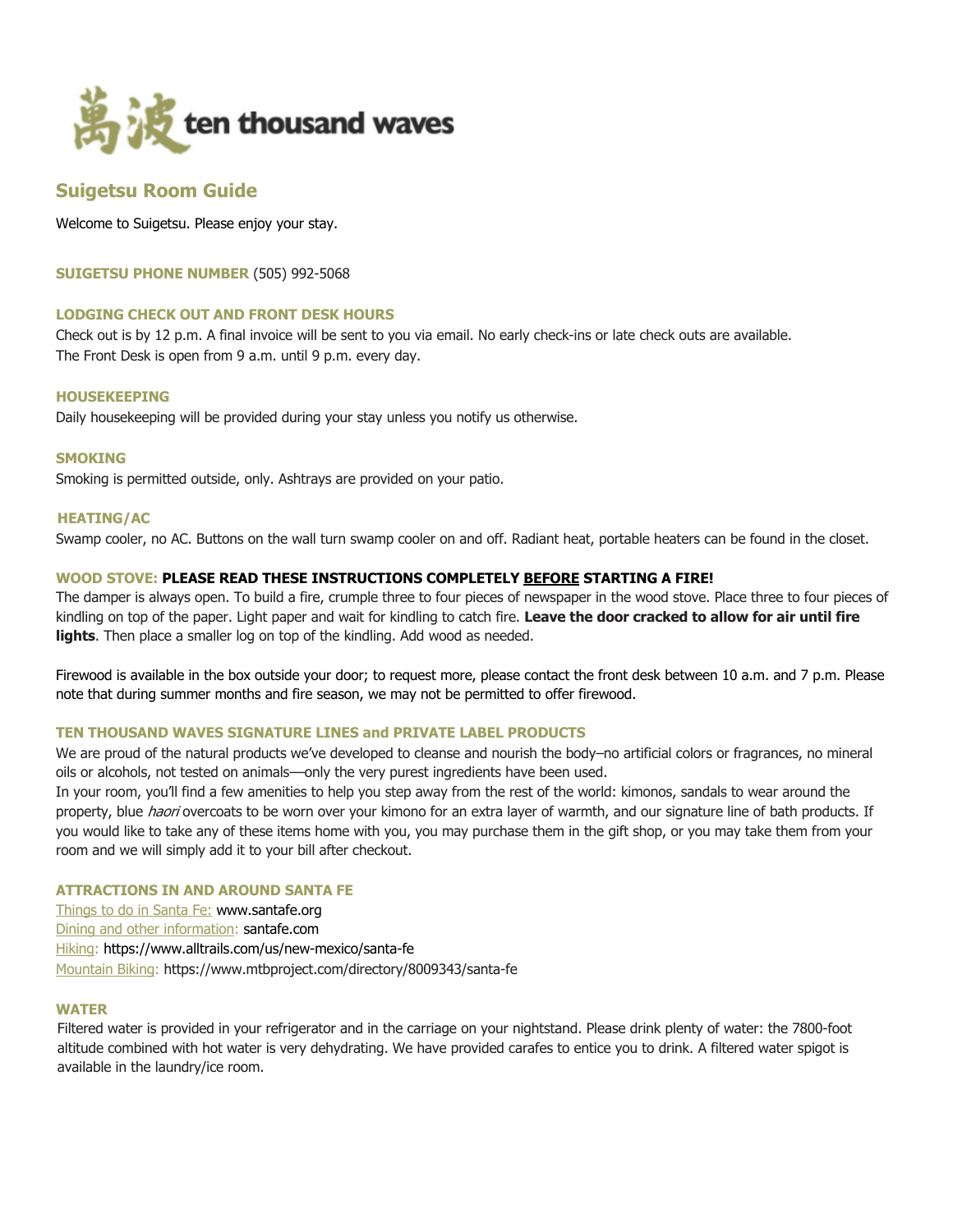

# **Suigetsu Room Guide**

Welcome to Suigetsu. Please enjoy your stay.

**SUIGETSU PHONE NUMBER** (505) 992-5068

## **LODGING CHECK OUT AND FRONT DESK HOURS**

Check out is by 12 p.m. A final invoice will be sent to you via email. No early check-ins or late check outs are available. The Front Desk is open from 9 a.m. until 9 p.m. every day.

#### **HOUSEKEEPING**

Daily housekeeping will be provided during your stay unless you notify us otherwise.

#### **SMOKING**

Smoking is permitted outside, only. Ashtrays are provided on your patio.

## **HEATING/AC**

Swamp cooler, no AC. Buttons on the wall turn swamp cooler on and off. Radiant heat, portable heaters can be found in the closet.

## **WOOD STOVE: PLEASE READ THESE INSTRUCTIONS COMPLETELY BEFORE STARTING A FIRE!**

The damper is always open. To build a fire, crumple three to four pieces of newspaper in the wood stove. Place three to four pieces of kindling on top of the paper. Light paper and wait for kindling to catch fire. **Leave the door cracked to allow for air until fire lights**. Then place a smaller log on top of the kindling. Add wood as needed.

Firewood is available in the box outside your door; to request more, please contact the front desk between 10 a.m. and 7 p.m. Please note that during summer months and fire season, we may not be permitted to offer firewood.

## **TEN THOUSAND WAVES SIGNATURE LINES and PRIVATE LABEL PRODUCTS**

We are proud of the natural products we've developed to cleanse and nourish the body–no artificial colors or fragrances, no mineral oils or alcohols, not tested on animals––only the very purest ingredients have been used.

In your room, you'll find a few amenities to help you step away from the rest of the world: kimonos, sandals to wear around the property, blue *haori* overcoats to be worn over your kimono for an extra layer of warmth, and our signature line of bath products. If you would like to take any of these items home with you, you may purchase them in the gift shop, or you may take them from your room and we will simply add it to your bill after checkout.

## **ATTRACTIONS IN AND AROUND SANTA FE**

Things to do in Santa Fe: www.santafe.org Dining and other information: santafe.com Hiking: https://www.alltrails.com/us/new-mexico/santa-fe Mountain Biking: https://www.mtbproject.com/directory/8009343/santa-fe

## **WATER**

Filtered water is provided in your refrigerator and in the carriage on your nightstand. Please drink plenty of water: the 7800-foot altitude combined with hot water is very dehydrating. We have provided carafes to entice you to drink. A filtered water spigot is available in the laundry/ice room.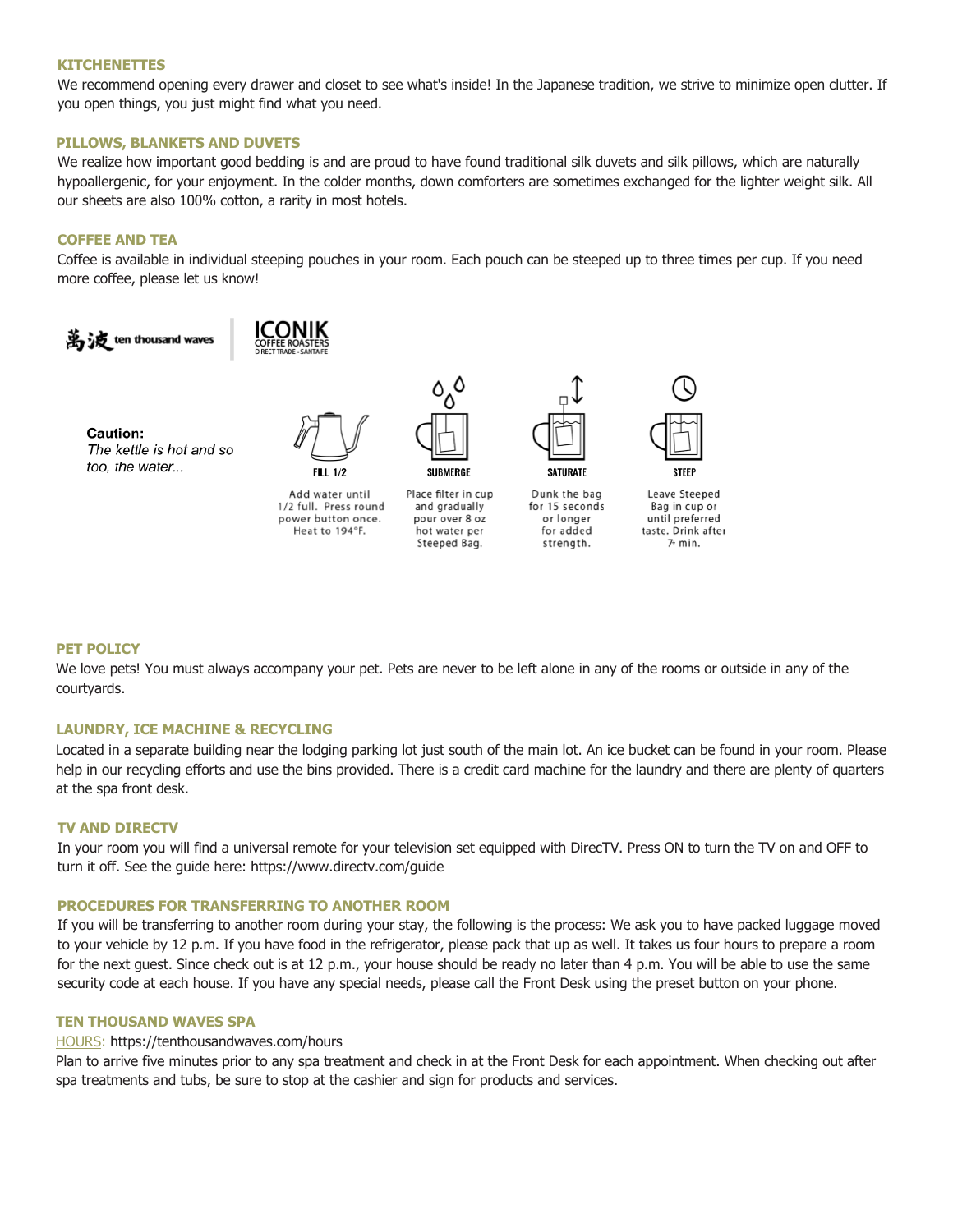#### **KITCHENETTES**

We recommend opening every drawer and closet to see what's inside! In the Japanese tradition, we strive to minimize open clutter. If you open things, you just might find what you need.

## **PILLOWS, BLANKETS AND DUVETS**

We realize how important good bedding is and are proud to have found traditional silk duvets and silk pillows, which are naturally hypoallergenic, for your enjoyment. In the colder months, down comforters are sometimes exchanged for the lighter weight silk. All our sheets are also 100% cotton, a rarity in most hotels.

## **COFFEE AND TEA**

Coffee is available in individual steeping pouches in your room. Each pouch can be steeped up to three times per cup. If you need more coffee, please let us know!



### **PET POLICY**

We love pets! You must always accompany your pet. Pets are never to be left alone in any of the rooms or outside in any of the courtyards.

#### **LAUNDRY, ICE MACHINE & RECYCLING**

Located in a separate building near the lodging parking lot just south of the main lot. An ice bucket can be found in your room. Please help in our recycling efforts and use the bins provided. There is a credit card machine for the laundry and there are plenty of quarters at the spa front desk.

#### **TV AND DIRECTV**

In your room you will find a universal remote for your television set equipped with DirecTV. Press ON to turn the TV on and OFF to turn it off. See the guide here: https://www.directv.com/guide

## **PROCEDURES FOR TRANSFERRING TO ANOTHER ROOM**

If you will be transferring to another room during your stay, the following is the process: We ask you to have packed luggage moved to your vehicle by 12 p.m. If you have food in the refrigerator, please pack that up as well. It takes us four hours to prepare a room for the next guest. Since check out is at 12 p.m., your house should be ready no later than 4 p.m. You will be able to use the same security code at each house. If you have any special needs, please call the Front Desk using the preset button on your phone.

#### **TEN THOUSAND WAVES SPA**

#### HOURS: https://tenthousandwaves.com/hours

Plan to arrive five minutes prior to any spa treatment and check in at the Front Desk for each appointment. When checking out after spa treatments and tubs, be sure to stop at the cashier and sign for products and services.